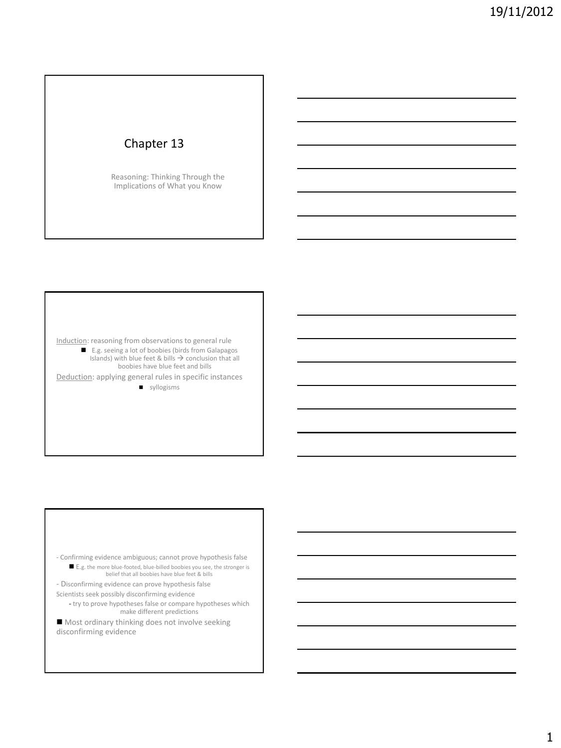## Chapter 13

Reasoning: Thinking Through the Implications of What you Know

Induction: reasoning from observations to general rule

■ E.g. seeing a lot of boobies (birds from Galapagos Islands) with blue feet & bills  $\rightarrow$  conclusion that all boobies have blue feet and bills

Deduction: applying general rules in specific instances syllogisms

- Confirming evidence ambiguous; cannot prove hypothesis false ■ E.g. the more blue-footed, blue-billed boobies you see, the stronger is belief that all boobies have blue feet & bills

- Disconfirming evidence can prove hypothesis false

Scientists seek possibly disconfirming evidence - try to prove hypotheses false or compare hypotheses which

make different predictions ■ Most ordinary thinking does not involve seeking disconfirming evidence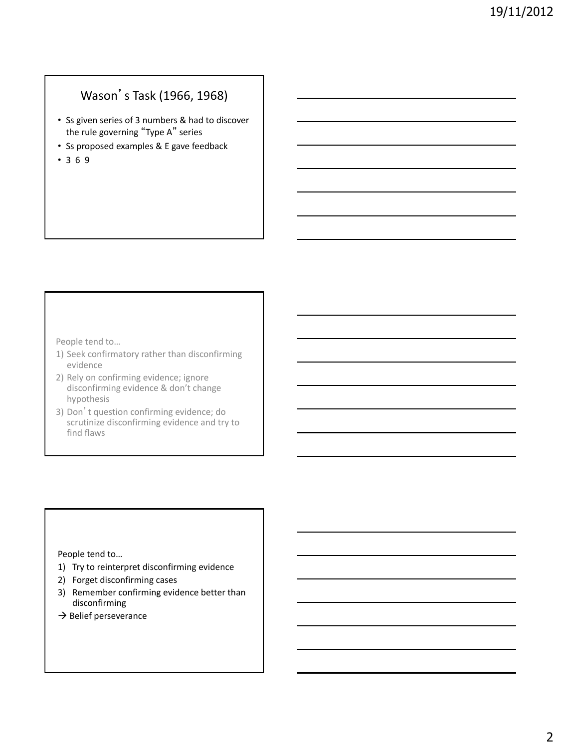# Wason's Task (1966, 1968)

- Ss given series of 3 numbers & had to discover the rule governing "Type A" series
- Ss proposed examples & E gave feedback
- 3 6 9

People tend to…

- 1) Seek confirmatory rather than disconfirming evidence
- 2) Rely on confirming evidence; ignore disconfirming evidence & don't change hypothesis
- 3) Don't question confirming evidence; do scrutinize disconfirming evidence and try to find flaws

People tend to…

- 1) Try to reinterpret disconfirming evidence
- 2) Forget disconfirming cases
- 3) Remember confirming evidence better than disconfirming
- $\rightarrow$  Belief perseverance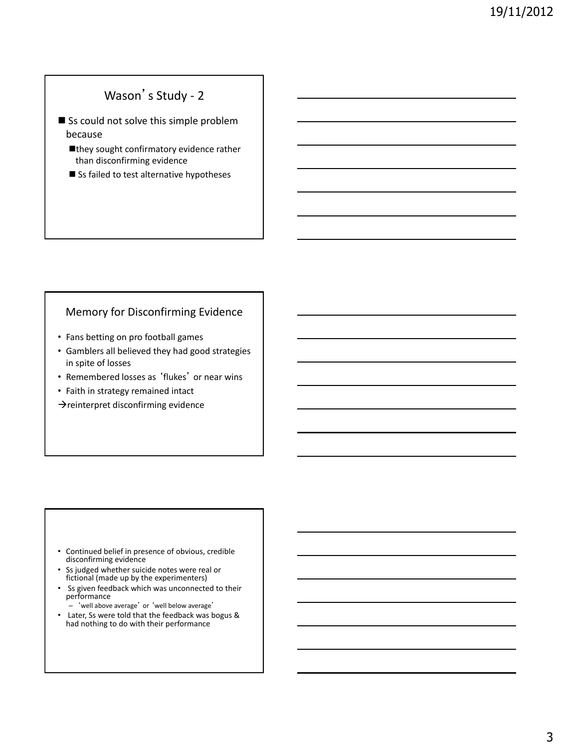# Wason's Study - 2

- Ss could not solve this simple problem because
	- ■they sought confirmatory evidence rather than disconfirming evidence
	- Ss failed to test alternative hypotheses

## Memory for Disconfirming Evidence

- Fans betting on pro football games
- Gamblers all believed they had good strategies in spite of losses
- Remembered losses as 'flukes' or near wins
- Faith in strategy remained intact

 $\rightarrow$ reinterpret disconfirming evidence

- Continued belief in presence of obvious, credible disconfirming evidence
- Ss judged whether suicide notes were real or fictional (made up by the experimenters)
- Ss given feedback which was unconnected to their performance
	- 'well above average' or 'well below average'
- Later, Ss were told that the feedback was bogus & had nothing to do with their performance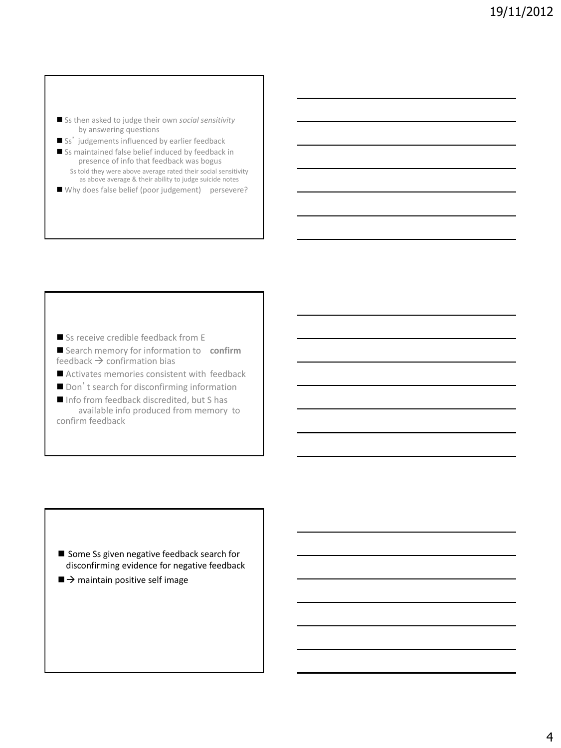- Ss then asked to judge their own *social sensitivity* by answering questions
- Ss' judgements influenced by earlier feedback
- Ss maintained false belief induced by feedback in presence of info that feedback was bogus Ss told they were above average rated their social sensitivity as above average & their ability to judge suicide notes
- Why does false belief (poor judgement) persevere?

Ss receive credible feedback from E

- Search memory for information to confirm feedback  $\rightarrow$  confirmation bias
- Activates memories consistent with feedback
- Don't search for disconfirming information
- Info from feedback discredited, but S has
- available info produced from memory to confirm feedback

- Some Ss given negative feedback search for disconfirming evidence for negative feedback
- $\blacksquare$   $\rightarrow$  maintain positive self image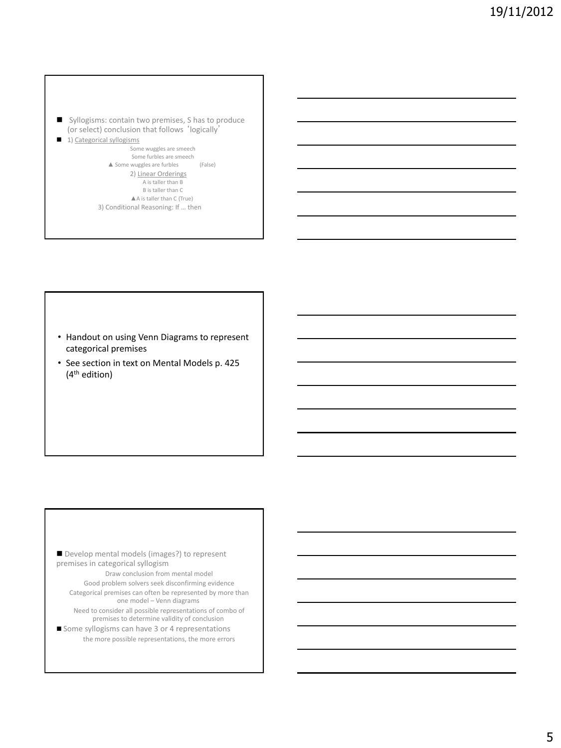- Syllogisms: contain two premises, S has to produce (or select) conclusion that follows 'logically'
- 1) Categorical syllogisms

Some wuggles are smeech Some furbles are smeech ▲ Some wuggles are furbles (False) 2) Linear Orderings A is taller than B B is taller than C ▲A is taller than C (True) 3) Conditional Reasoning: If … then

- Handout on using Venn Diagrams to represent categorical premises
- See section in text on Mental Models p. 425 (4th edition)

Develop mental models (images?) to represent premises in categorical syllogism Draw conclusion from mental model Good problem solvers seek disconfirming evidence Categorical premises can often be represented by more than one model – Venn diagrams Need to consider all possible representations of combo of premises to determine validity of conclusion Some syllogisms can have 3 or 4 representations the more possible representations, the more errors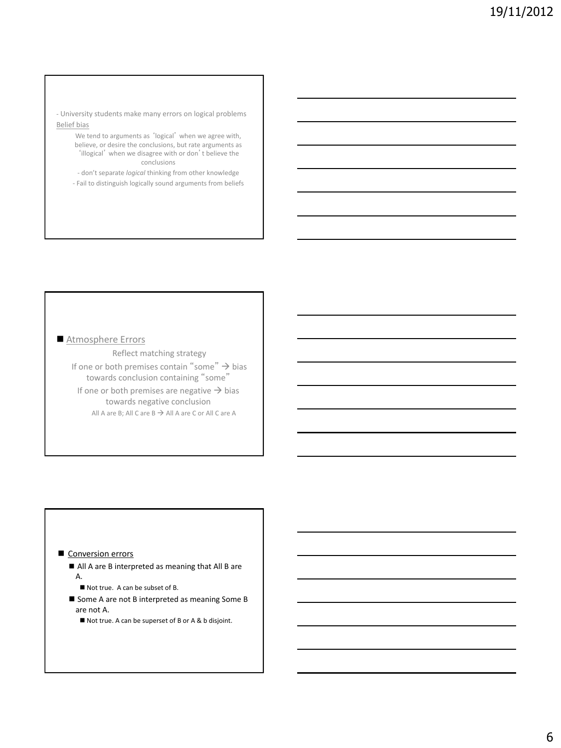- University students make many errors on logical problems Belief bias
	- We tend to arguments as 'logical' when we agree with, believe, or desire the conclusions, but rate arguments as 'illogical' when we disagree with or don't believe the conclusions
	- don't separate *logical* thinking from other knowledge
	- Fail to distinguish logically sound arguments from beliefs

### Atmosphere Errors

Reflect matching strategy If one or both premises contain "some"  $\rightarrow$  bias towards conclusion containing "some" If one or both premises are negative  $\rightarrow$  bias towards negative conclusion All A are B; All C are  $B \rightarrow A$ ll A are C or All C are A

### Conversion errors

- All A are B interpreted as meaning that All B are A.
	- Not true. A can be subset of B.
- Some A are not B interpreted as meaning Some B are not A.
	- Not true. A can be superset of B or A & b disjoint.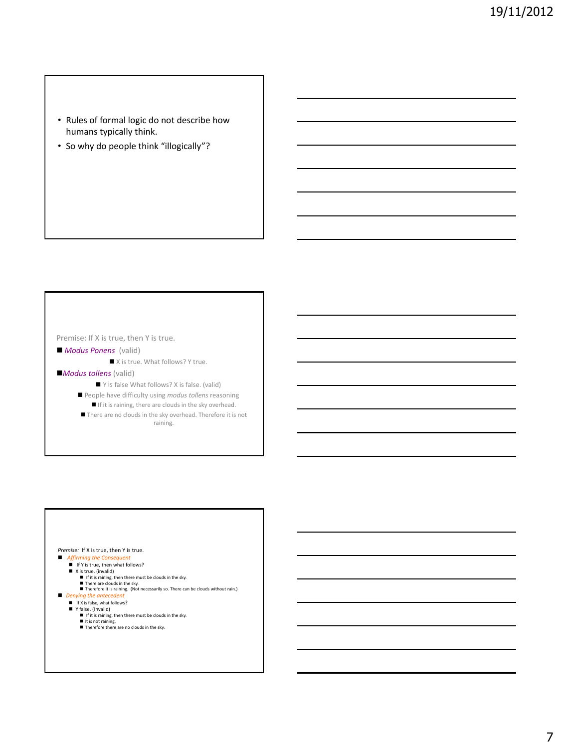- Rules of formal logic do not describe how humans typically think.
- So why do people think "illogically"?

### Premise: If X is true, then Y is true.

#### *Modus Ponens* (valid)

■ X is true. What follows? Y true.

#### *Modus tollens* (valid)

- Y is false What follows? X is false. (valid)
- People have difficulty using *modus tollens* reasoning
	- $\blacksquare$  If it is raining, there are clouds in the sky overhead.
- There are no clouds in the sky overhead. Therefore it is not raining.

## *Premise:* If X is true, then Y is true.<br>■ Affirming the Consequent

- *Affirming the Consequent*<br>■ If Y is true, then what follows?
	-
	- -
	- $\blacksquare$  X is true. (invalid)<br>  $\blacksquare$  If it is raining, then there must be clouds in the sky.<br>  $\blacksquare$  Therefore it is raining. (Not necessarily so. There can be clouds without rain.)
- *Denying the anteceder* 
	- If X is false, what follows?<br>■ Y false. (Invalid)
	-
	- $\blacksquare$  If it is raining, then there must be clouds in the sky.
	- It is not raining.<br>■ Therefore there are no clouds in the sky.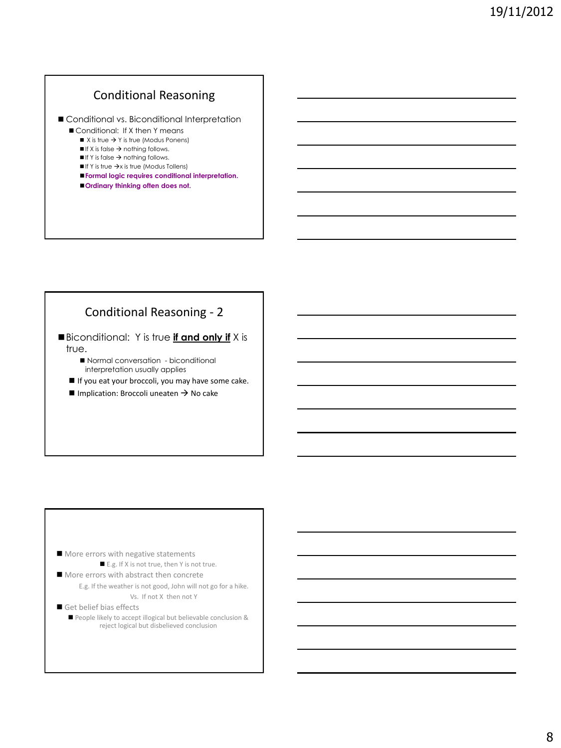## Conditional Reasoning

Conditional vs. Biconditional Interpretation

- Conditional: If X then Y means
	- $\blacksquare$  X is true  $\rightarrow$  Y is true (Modus Ponens)
	- $\blacksquare$  If X is false  $\rightarrow$  nothing follows.  $\blacksquare$  If Y is false  $\rightarrow$  nothing follows.
	-
	- $\blacksquare$  If Y is true  $\rightarrow$ x is true (Modus Tollens)
	- **Formal logic requires conditional interpretation. Ordinary thinking often does not.**

## Conditional Reasoning - 2

Biconditional: Y is true **if and only if** X is true.

 Normal conversation - biconditional interpretation usually applies

If you eat your broccoli, you may have some cake.

 $\blacksquare$  Implication: Broccoli uneaten  $\rightarrow$  No cake

#### More errors with negative statements ■ E.g. If X is not true, then Y is not true.

- More errors with abstract then concrete E.g. If the weather is not good, John will not go for a hike. Vs. If not X then not Y
- Get belief bias effects
	- People likely to accept illogical but believable conclusion & reject logical but disbelieved conclusion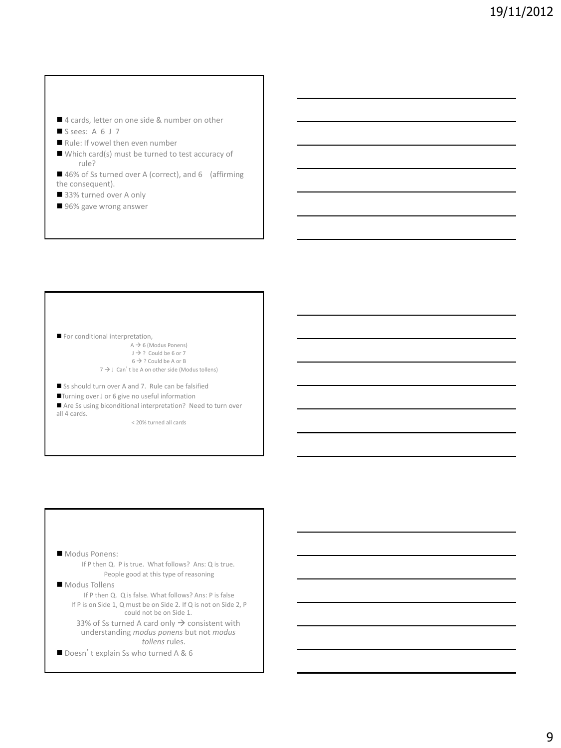- 4 cards, letter on one side & number on other
- $S$  sees: A 6 J 7
- Rule: If vowel then even number
- Which card(s) must be turned to test accuracy of rule?
- 46% of Ss turned over A (correct), and 6 (affirming the consequent).
- 33% turned over A only
- 96% gave wrong answer

For conditional interpretation,  $A \rightarrow 6$  (Modus Ponens)  $J \rightarrow ?$  Could be 6 or 7  $6 \rightarrow$  ? Could be A or B  $7 \rightarrow$  J Can't be A on other side (Modus tollens)

Ss should turn over A and 7. Rule can be falsified

Turning over J or 6 give no useful information

Are Ss using biconditional interpretation? Need to turn over all 4 cards.

< 20% turned all cards

 Modus Ponens: If P then Q. P is true. What follows? Ans: Q is true. People good at this type of reasoning Modus Tollens

If P then Q. Q is false. What follows? Ans: P is false If P is on Side 1, Q must be on Side 2. If Q is not on Side 2, P could not be on Side 1.

33% of Ss turned A card only  $\rightarrow$  consistent with understanding *modus ponens* but not *modus tollens* rules.

Doesn't explain Ss who turned A & 6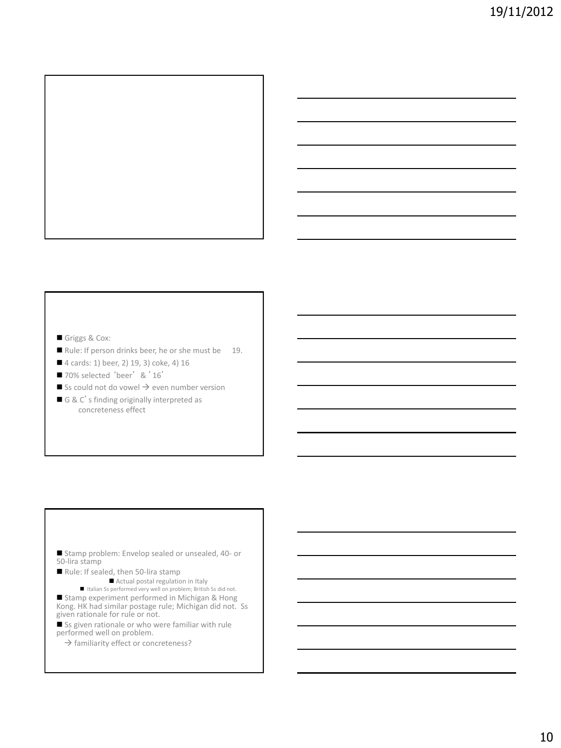

- Griggs & Cox:
- Rule: If person drinks beer, he or she must be 19.
- 4 cards: 1) beer, 2) 19, 3) coke, 4) 16
- 70% selected 'beer' & '16'
- $\blacksquare$  Ss could not do vowel  $\rightarrow$  even number version
- G & C's finding originally interpreted as concreteness effect

- Stamp problem: Envelop sealed or unsealed, 40- or 50-lira stamp
- Rule: If sealed, then 50-lira stamp
	- Actual postal regulation in Italy

 $\blacksquare$  Italian Ss performed very well on problem; British Ss did not. Stamp experiment performed in Michigan & Hong Kong. HK had similar postage rule; Michigan did not. Ss given rationale for rule or not.

Ss given rationale or who were familiar with rule performed well on problem.

 $\rightarrow$  familiarity effect or concreteness?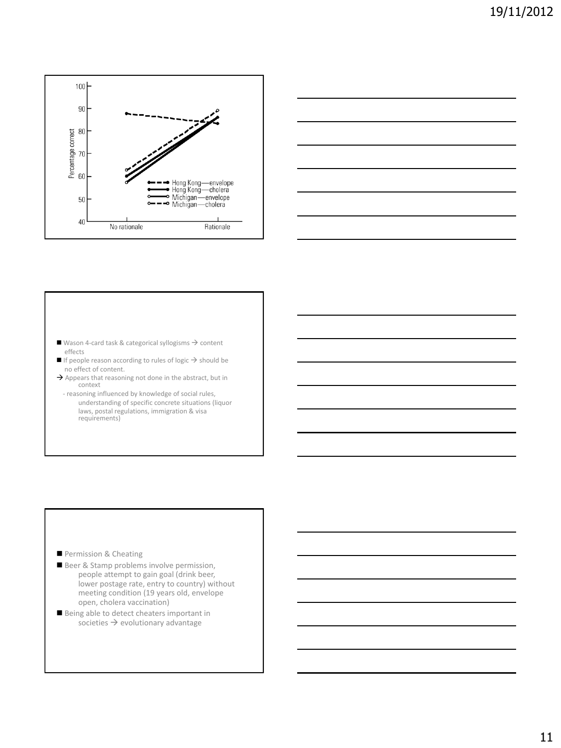



- Wason 4-card task & categorical syllogisms  $\rightarrow$  content effects
- $\blacksquare$  If people reason according to rules of logic  $\Rightarrow$  should be no effect of content.
- $\rightarrow$  Appears that reasoning not done in the abstract, but in context
	- reasoning influenced by knowledge of social rules, understanding of specific concrete situations (liquor laws, postal regulations, immigration & visa requirements)

- Permission & Cheating
- Beer & Stamp problems involve permission, people attempt to gain goal (drink beer, lower postage rate, entry to country) without meeting condition (19 years old, envelope open, cholera vaccination)
- Being able to detect cheaters important in societies  $\rightarrow$  evolutionary advantage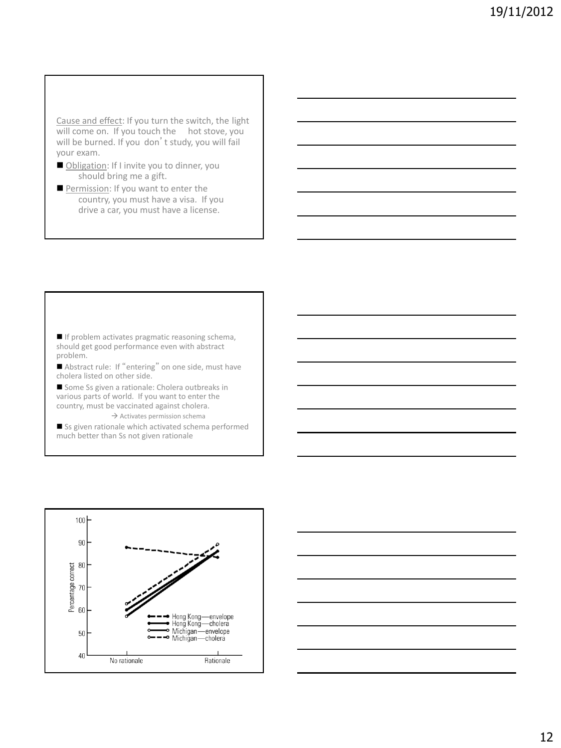Cause and effect: If you turn the switch, the light will come on. If you touch the hot stove, you will be burned. If you don't study, you will fail your exam.

- Obligation: If I invite you to dinner, you should bring me a gift.
- Permission: If you want to enter the country, you must have a visa. If you drive a car, you must have a license.

 $\blacksquare$  If problem activates pragmatic reasoning schema, should get good performance even with abstract problem.

Abstract rule: If "entering" on one side, must have cholera listed on other side.

Some Ss given a rationale: Cholera outbreaks in various parts of world. If you want to enter the country, must be vaccinated against cholera.

 $\rightarrow$  Activates permission schema Ss given rationale which activated schema performed

much better than Ss not given rationale



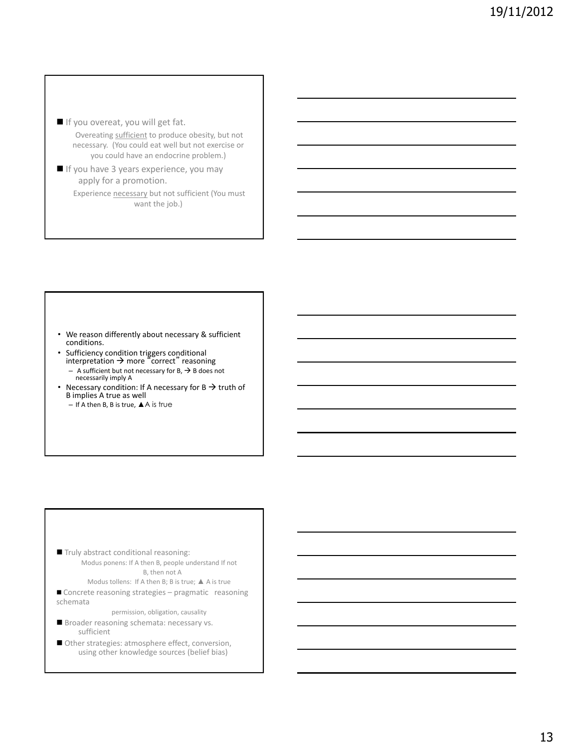If you overeat, you will get fat.

Overeating sufficient to produce obesity, but not necessary. (You could eat well but not exercise or you could have an endocrine problem.)

If you have 3 years experience, you may apply for a promotion. Experience necessary but not sufficient (You must

want the job.)

- We reason differently about necessary & sufficient conditions.
- Sufficiency condition triggers conditional<br>interpretation → more "correct" reasoning – A sufficient but not necessary for  $B$ ,  $\rightarrow$  B does not necessarily imply A
- Necessary condition: If A necessary for  $B \rightarrow$  truth of B implies A true as well
	- $-$  If A then B, B is true,  $\triangle$  A is true

- Truly abstract conditional reasoning: Modus ponens: If A then B, people understand If not B, then not A
	- Modus tollens: If A then B; B is true; ▲ A is true
- Concrete reasoning strategies pragmatic reasoning schemata

permission, obligation, causality

- Broader reasoning schemata: necessary vs. sufficient
- Other strategies: atmosphere effect, conversion, using other knowledge sources (belief bias)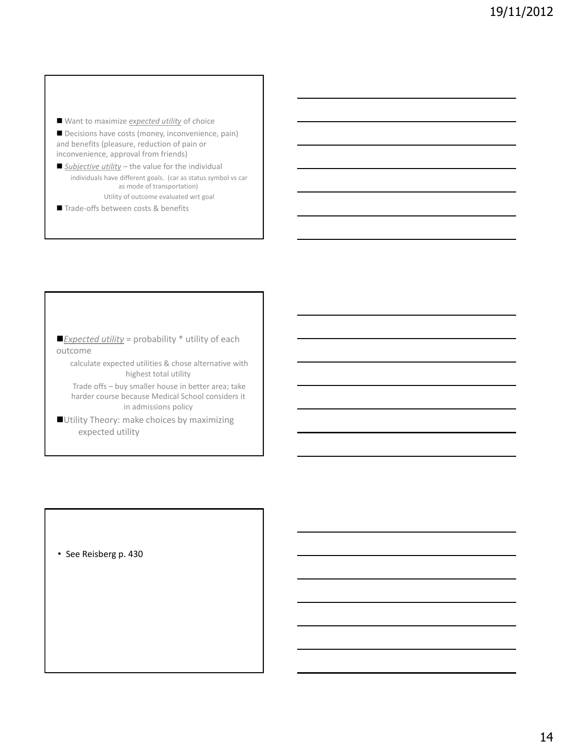■ Want to maximize *expected utility* of choice

Decisions have costs (money, inconvenience, pain) and benefits (pleasure, reduction of pain or inconvenience, approval from friends)

■ **Subjective utility** – the value for the individual individuals have different goals. (car as status symbol vs car as mode of transportation) Utility of outcome evaluated wrt goal

Trade-offs between costs & benefits

*Expected utility* = probability \* utility of each outcome

calculate expected utilities & chose alternative with highest total utility

Trade offs – buy smaller house in better area; take harder course because Medical School considers it in admissions policy

Utility Theory: make choices by maximizing expected utility

• See Reisberg p. 430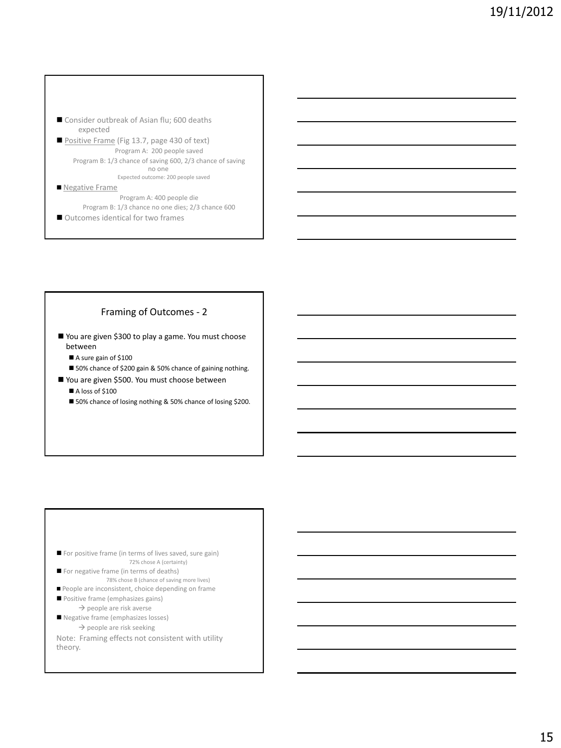- Consider outbreak of Asian flu; 600 deaths expected
- Positive Frame (Fig 13.7, page 430 of text) Program A: 200 people saved Program B: 1/3 chance of saving 600, 2/3 chance of saving no one Expected outcome: 200 people saved

#### Negative Frame

Program A: 400 people die Program B: 1/3 chance no one dies; 2/3 chance 600

■ Outcomes identical for two frames

### Framing of Outcomes - 2

- You are given \$300 to play a game. You must choose between
	- A sure gain of \$100
	- 50% chance of \$200 gain & 50% chance of gaining nothing.
- You are given \$500. You must choose between
	- $\blacksquare$  A loss of \$100
	- 50% chance of losing nothing & 50% chance of losing \$200.

- For positive frame (in terms of lives saved, sure gain) 72% chose A (certainty)
- For negative frame (in terms of deaths) 78% chose B (chance of saving more lives)
- People are inconsistent, choice depending on frame
- Positive frame (emphasizes gains)
	- $\rightarrow$  people are risk averse
- Negative frame (emphasizes losses)  $\rightarrow$  people are risk seeking
- Note: Framing effects not consistent with utility theory.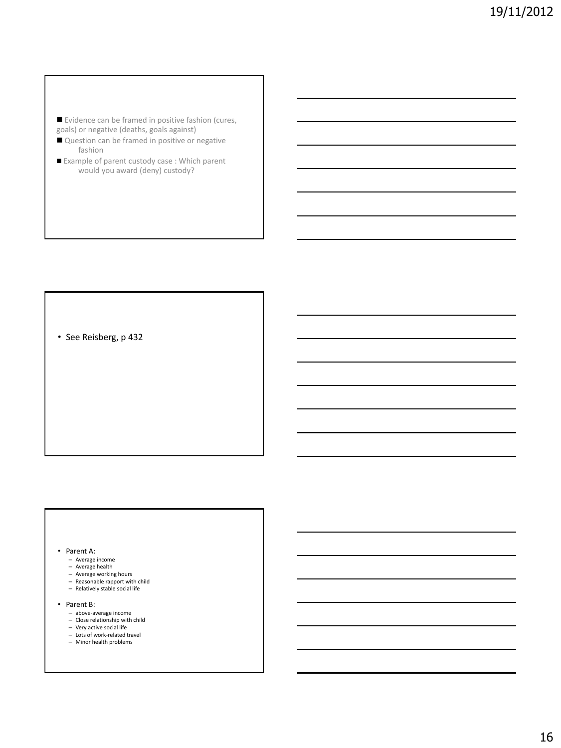- Evidence can be framed in positive fashion (cures, goals) or negative (deaths, goals against)
- Question can be framed in positive or negative fashion
- Example of parent custody case : Which parent would you award (deny) custody?

• See Reisberg, p 432

#### • Parent A:

- 
- Average income Average health
- Average working hours
- Reasonable rapport with child Relatively stable social life
- 
- Parent B:
	- above-average income
	- Close relationship with child
	- Very active social life
	- Lots of work-related travel – Minor health problems
	-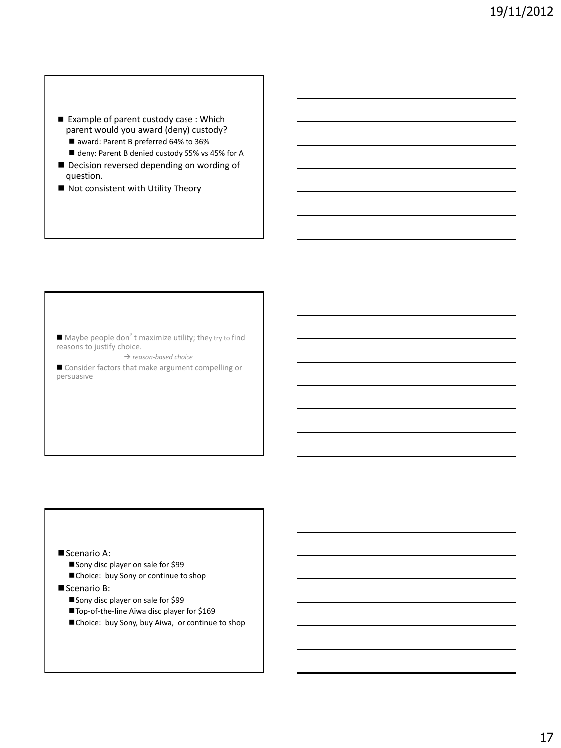- Example of parent custody case : Which parent would you award (deny) custody?
	- award: Parent B preferred 64% to 36%
	- deny: Parent B denied custody 55% vs 45% for A
- Decision reversed depending on wording of question.
- Not consistent with Utility Theory

 $\blacksquare$  Maybe people don't maximize utility; they try to find reasons to justify choice.

 $\rightarrow$  reason-based choice

■ Consider factors that make argument compelling or persuasive

### Scenario A:

- Sony disc player on sale for \$99
- Choice: buy Sony or continue to shop
- Scenario B:
	- Sony disc player on sale for \$99
	- Top-of-the-line Aiwa disc player for \$169
	- Choice: buy Sony, buy Aiwa, or continue to shop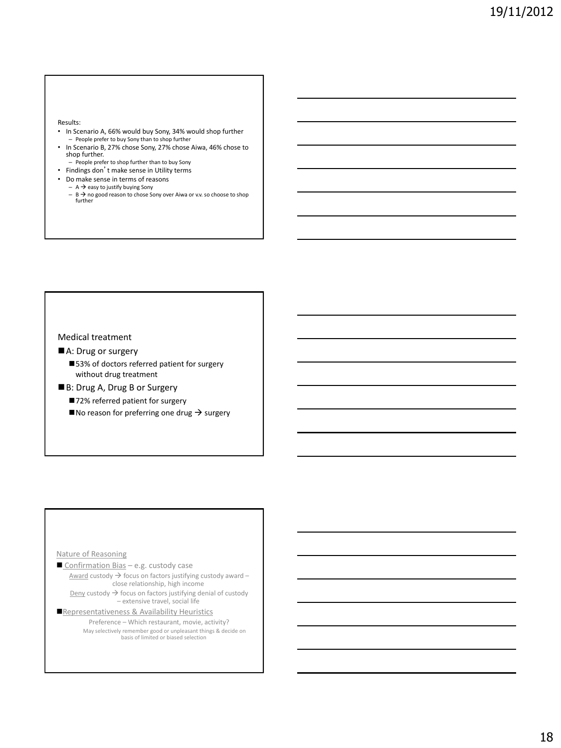Results:

- In Scenario A, 66% would buy Sony, 34% would shop further – People prefer to buy Sony than to shop further
- In Scenario B, 27% chose Sony, 27% chose Aiwa, 46% chose to shop further.
- People prefer to shop further than to buy Sony
- Findings don't make sense in Utility terms
- Do make sense in terms of reasons
	- $-$  A  $\rightarrow$  easy to justify buying Sony
	- $B \rightarrow$  no good reason to chose Sony over Aiwa or v.v. so choose to shop further

Medical treatment

- A: Drug or surgery
	- ■53% of doctors referred patient for surgery without drug treatment
- ■B: Drug A, Drug B or Surgery
	- ■72% referred patient for surgery
	- $\blacksquare$  No reason for preferring one drug  $\rightarrow$  surgery

#### Nature of Reasoning

Confirmation Bias - e.g. custody case  $Award$  custody  $\rightarrow$  focus on factors justifying custody award – close relationship, high income  $Deny$  custody  $\rightarrow$  focus on factors justifying denial of custody</u>

– extensive travel, social life Representativeness & Availability Heuristics

Preference – Which restaurant, movie, activity? May selectively remember good or unpleasant things & decide on basis of limited or biased selection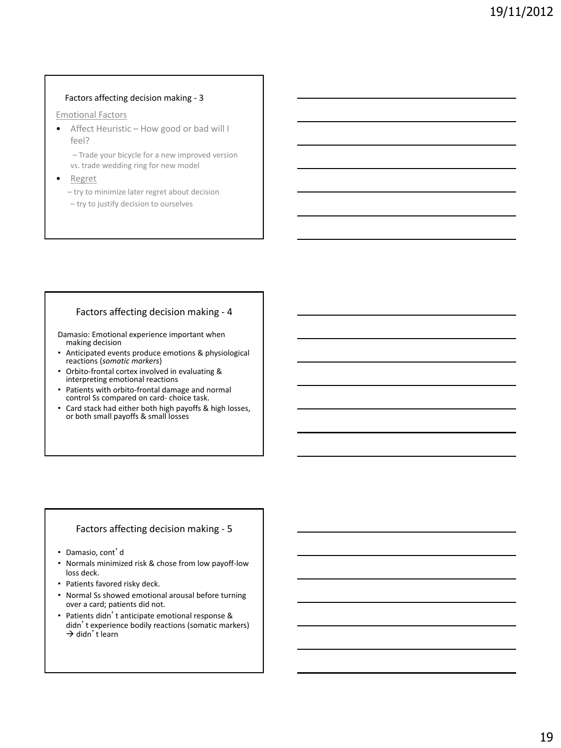#### Factors affecting decision making - 3

#### Emotional Factors

• Affect Heuristic – How good or bad will I feel?

– Trade your bicycle for a new improved version vs. trade wedding ring for new model

• Regret

– try to minimize later regret about decision

– try to justify decision to ourselves

## Factors affecting decision making - 4

Damasio: Emotional experience important when making decision

- Anticipated events produce emotions & physiological reactions (*somatic markers*)
- Orbito-frontal cortex involved in evaluating & interpreting emotional reactions
- Patients with orbito-frontal damage and normal control Ss compared on card- choice task.
- Card stack had either both high payoffs & high losses, or both small payoffs & small losses

### Factors affecting decision making - 5

- Damasio, cont'd
- Normals minimized risk & chose from low payoff-low loss deck.
- Patients favored risky deck.
- Normal Ss showed emotional arousal before turning over a card; patients did not.
- Patients didn't anticipate emotional response & didn't experience bodily reactions (somatic markers)  $\rightarrow$  didn't learn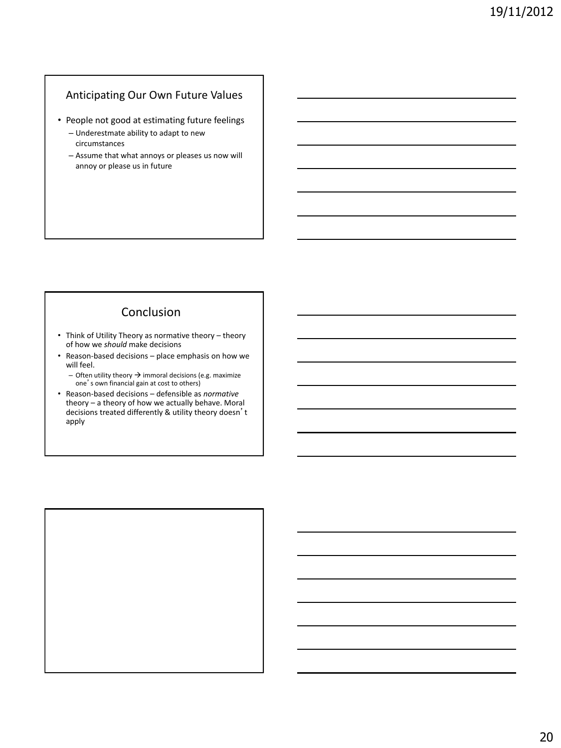## Anticipating Our Own Future Values

- People not good at estimating future feelings
	- Underestmate ability to adapt to new circumstances
	- Assume that what annoys or pleases us now will annoy or please us in future

## Conclusion

- Think of Utility Theory as normative theory theory of how we *should* make decisions
- Reason-based decisions place emphasis on how we will feel.
	- Often utility theory  $\rightarrow$  immoral decisions (e.g. maximize one's own financial gain at cost to others)
- Reason-based decisions defensible as *normative*  theory – a theory of how we actually behave. Moral decisions treated differently & utility theory doesn't apply